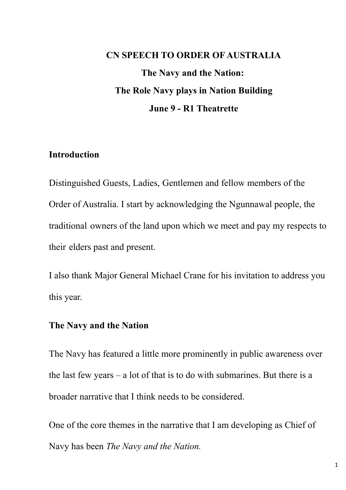# **CN SPEECH TO ORDER OF AUSTRALIA The Navy and the Nation: The Role Navy plays in Nation Building June 9 - R1 Theatrette**

#### **Introduction**

Distinguished Guests, Ladies, Gentlemen and fellow members of the Order of Australia. I start by acknowledging the Ngunnawal people, the traditional owners of the land upon which we meet and pay my respects to their elders past and present.

I also thank Major General Michael Crane for his invitation to address you this year.

### **The Navy and the Nation**

The Navy has featured a little more prominently in public awareness over the last few years – a lot of that is to do with submarines. But there is a broader narrative that I think needs to be considered.

One of the core themes in the narrative that I am developing as Chief of Navy has been *The Navy and the Nation.*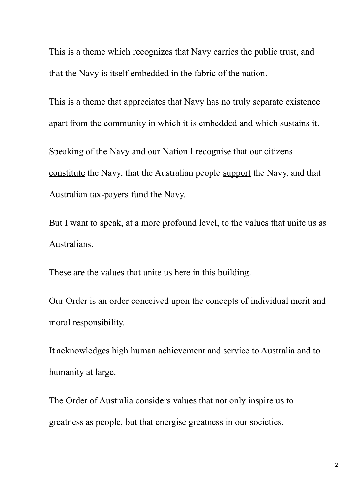This is a theme which recognizes that Navy carries the public trust, and that the Navy is itself embedded in the fabric of the nation.

This is a theme that appreciates that Navy has no truly separate existence apart from the community in which it is embedded and which sustains it.

Speaking of the Navy and our Nation I recognise that our citizens constitute the Navy, that the Australian people support the Navy, and that Australian tax-payers fund the Navy.

But I want to speak, at a more profound level, to the values that unite us as Australians.

These are the values that unite us here in this building.

Our Order is an order conceived upon the concepts of individual merit and moral responsibility.

It acknowledges high human achievement and service to Australia and to humanity at large.

The Order of Australia considers values that not only inspire us to greatness as people, but that energise greatness in our societies.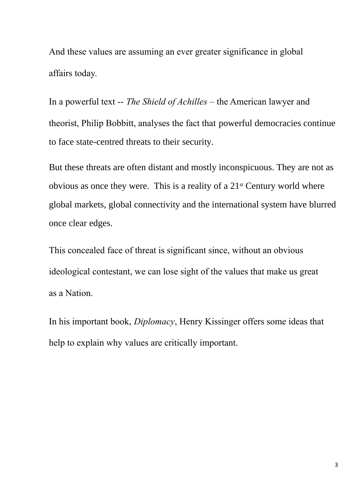And these values are assuming an ever greater significance in global affairs today.

In a powerful text -- *The Shield of Achilles* – the American lawyer and theorist, Philip Bobbitt, analyses the fact that powerful democracies continue to face state-centred threats to their security.

But these threats are often distant and mostly inconspicuous. They are not as obvious as once they were. This is a reality of a 21st Century world where global markets, global connectivity and the international system have blurred once clear edges.

This concealed face of threat is significant since, without an obvious ideological contestant, we can lose sight of the values that make us great as a Nation.

In his important book, *Diplomacy*, Henry Kissinger offers some ideas that help to explain why values are critically important.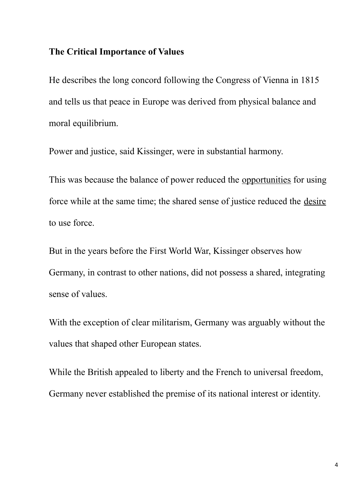# **The Critical Importance of Values**

He describes the long concord following the Congress of Vienna in 1815 and tells us that peace in Europe was derived from physical balance and moral equilibrium.

Power and justice, said Kissinger, were in substantial harmony.

This was because the balance of power reduced the opportunities for using force while at the same time; the shared sense of justice reduced the desire to use force.

But in the years before the First World War, Kissinger observes how Germany, in contrast to other nations, did not possess a shared, integrating sense of values.

With the exception of clear militarism, Germany was arguably without the values that shaped other European states.

While the British appealed to liberty and the French to universal freedom, Germany never established the premise of its national interest or identity.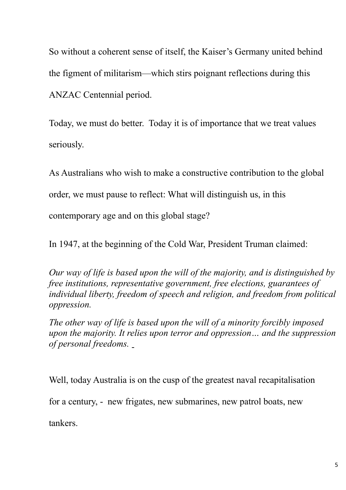So without a coherent sense of itself, the Kaiser's Germany united behind the figment of militarism—which stirs poignant reflections during this ANZAC Centennial period.

Today, we must do better. Today it is of importance that we treat values seriously.

As Australians who wish to make a constructive contribution to the global

order, we must pause to reflect: What will distinguish us, in this

contemporary age and on this global stage?

In 1947, at the beginning of the Cold War, President Truman claimed:

*Our way of life is based upon the will of the majority, and is distinguished by free institutions, representative government, free elections, guarantees of individual liberty, freedom of speech and religion, and freedom from political oppression.* 

*The other way of life is based upon the will of a minority forcibly imposed upon the majority. It relies upon terror and oppression… and the suppression of personal freedoms.* 

Well, today Australia is on the cusp of the greatest naval recapitalisation

for a century, - new frigates, new submarines, new patrol boats, new

tankers.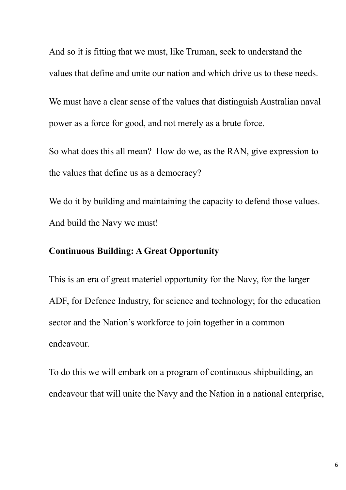And so it is fitting that we must, like Truman, seek to understand the values that define and unite our nation and which drive us to these needs.

We must have a clear sense of the values that distinguish Australian naval power as a force for good, and not merely as a brute force.

So what does this all mean? How do we, as the RAN, give expression to the values that define us as a democracy?

We do it by building and maintaining the capacity to defend those values. And build the Navy we must!

## **Continuous Building: A Great Opportunity**

This is an era of great materiel opportunity for the Navy, for the larger ADF, for Defence Industry, for science and technology; for the education sector and the Nation's workforce to join together in a common endeavour.

To do this we will embark on a program of continuous shipbuilding, an endeavour that will unite the Navy and the Nation in a national enterprise,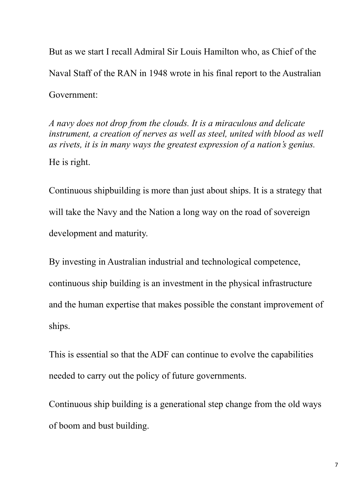But as we start I recall Admiral Sir Louis Hamilton who, as Chief of the Naval Staff of the RAN in 1948 wrote in his final report to the Australian Government:

*A navy does not drop from the clouds. It is a miraculous and delicate instrument, a creation of nerves as well as steel, united with blood as well as rivets, it is in many ways the greatest expression of a nation's genius.* He is right.

Continuous shipbuilding is more than just about ships. It is a strategy that will take the Navy and the Nation a long way on the road of sovereign development and maturity.

By investing in Australian industrial and technological competence, continuous ship building is an investment in the physical infrastructure and the human expertise that makes possible the constant improvement of ships.

This is essential so that the ADF can continue to evolve the capabilities needed to carry out the policy of future governments.

Continuous ship building is a generational step change from the old ways of boom and bust building.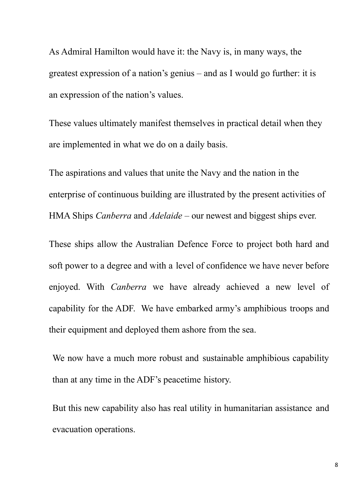As Admiral Hamilton would have it: the Navy is, in many ways, the greatest expression of a nation's genius – and as I would go further: it is an expression of the nation's values.

These values ultimately manifest themselves in practical detail when they are implemented in what we do on a daily basis.

The aspirations and values that unite the Navy and the nation in the enterprise of continuous building are illustrated by the present activities of HMA Ships *Canberra* and *Adelaide* – our newest and biggest ships ever.

These ships allow the Australian Defence Force to project both hard and soft power to a degree and with a level of confidence we have never before enjoyed. With *Canberra* we have already achieved a new level of capability for the ADF. We have embarked army's amphibious troops and their equipment and deployed them ashore from the sea.

We now have a much more robust and sustainable amphibious capability than at any time in the ADF's peacetime history.

But this new capability also has real utility in humanitarian assistance and evacuation operations.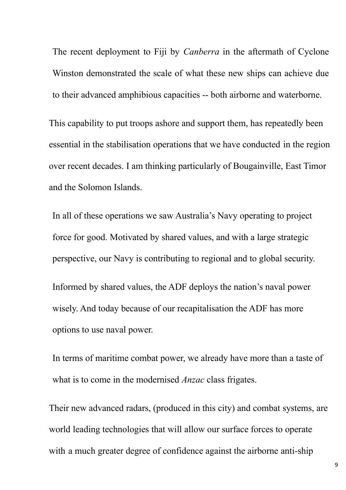The recent deployment to Fiji by *Canberra* in the aftermath of Cyclone Winston demonstrated the scale of what these new ships can achieve due to their advanced amphibious capacities -- both airborne and waterborne.

This capability to put troops ashore and support them, has repeatedly been essential in the stabilisation operations that we have conducted in the region over recent decades. I am thinking particularly of Bougainville, East Timor and the Solomon Islands.

In all of these operations we saw Australia's Navy operating to project force for good. Motivated by shared values, and with a large strategic perspective, our Navy is contributing to regional and to global security. Informed by shared values, the ADF deploys the nation's naval power wisely. And today because of our recapitalisation the ADF has more options to use naval power.

In terms of maritime combat power, we already have more than a taste of what is to come in the modernised *Anzac* class frigates.

Their new advanced radars, (produced in this city) and combat systems, are world leading technologies that will allow our surface forces to operate with a much greater degree of confidence against the airborne anti-ship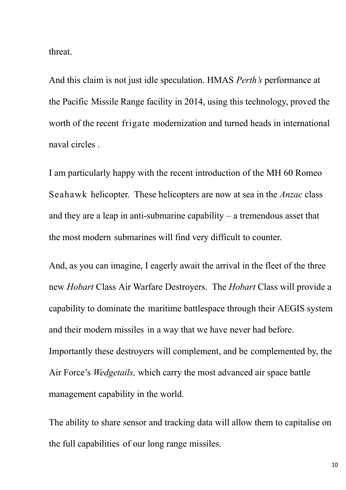threat.

And this claim is not just idle speculation. HMAS *Perth's* performance at the Pacific Missile Range facility in 2014, using this technology, proved the worth of the recent frigate modernization and turned heads in international naval circles .

I am particularly happy with the recent introduction of the MH 60 Romeo Seahawk helicopter. These helicopters are now at sea in the *Anzac* class and they are a leap in anti-submarine capability  $-$  a tremendous asset that the most modern submarines will find very difficult to counter.

And, as you can imagine, I eagerly await the arrival in the fleet of the three new *Hobart* Class Air Warfare Destroyers. The *Hobart* Class will provide a capability to dominate the maritime battlespace through their AEGIS system and their modern missiles in a way that we have never had before. Importantly these destroyers will complement, and be complemented by, the Air Force's *Wedgetails,* which carry the most advanced air space battle management capability in the world.

The ability to share sensor and tracking data will allow them to capitalise on the full capabilities of our long range missiles.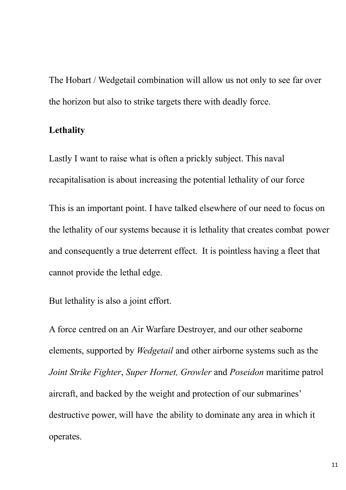The Hobart / Wedgetail combination will allow us not only to see far over the horizon but also to strike targets there with deadly force.

## **Lethality**

Lastly I want to raise what is often a prickly subject. This naval recapitalisation is about increasing the potential lethality of our force

This is an important point. I have talked elsewhere of our need to focus on the lethality of our systems because it is lethality that creates combat power and consequently a true deterrent effect. It is pointless having a fleet that cannot provide the lethal edge.

But lethality is also a joint effort.

A force centred on an Air Warfare Destroyer, and our other seaborne elements, supported by *Wedgetail* and other airborne systems such as the *Joint Strike Fighter*, *Super Hornet, Growler* and *Poseidon* maritime patrol aircraft, and backed by the weight and protection of our submarines' destructive power, will have the ability to dominate any area in which it operates.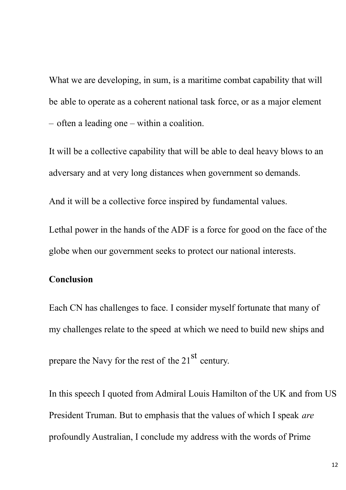What we are developing, in sum, is a maritime combat capability that will be able to operate as a coherent national task force, or as a major element – often a leading one – within a coalition.

It will be a collective capability that will be able to deal heavy blows to an adversary and at very long distances when government so demands.

And it will be a collective force inspired by fundamental values.

Lethal power in the hands of the ADF is a force for good on the face of the globe when our government seeks to protect our national interests.

## **Conclusion**

Each CN has challenges to face. I consider myself fortunate that many of my challenges relate to the speed at which we need to build new ships and prepare the Navy for the rest of the  $21<sup>st</sup>$  century.

In this speech I quoted from Admiral Louis Hamilton of the UK and from US President Truman. But to emphasis that the values of which I speak *are*  profoundly Australian, I conclude my address with the words of Prime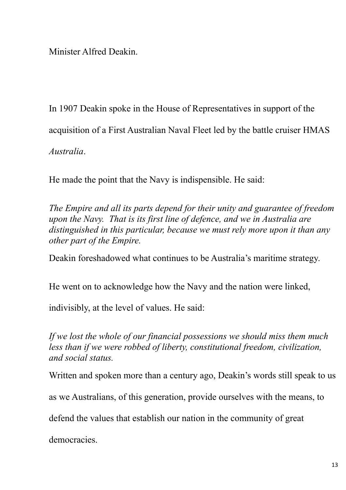Minister Alfred Deakin.

In 1907 Deakin spoke in the House of Representatives in support of the acquisition of a First Australian Naval Fleet led by the battle cruiser HMAS *Australia*.

He made the point that the Navy is indispensible. He said:

*The Empire and all its parts depend for their unity and guarantee of freedom upon the Navy. That is its first line of defence, and we in Australia are distinguished in this particular, because we must rely more upon it than any other part of the Empire.*

Deakin foreshadowed what continues to be Australia's maritime strategy.

He went on to acknowledge how the Navy and the nation were linked,

indivisibly, at the level of values. He said:

*If we lost the whole of our financial possessions we should miss them much less than if we were robbed of liberty, constitutional freedom, civilization, and social status.* 

Written and spoken more than a century ago, Deakin's words still speak to us

as we Australians, of this generation, provide ourselves with the means, to

defend the values that establish our nation in the community of great

democracies.